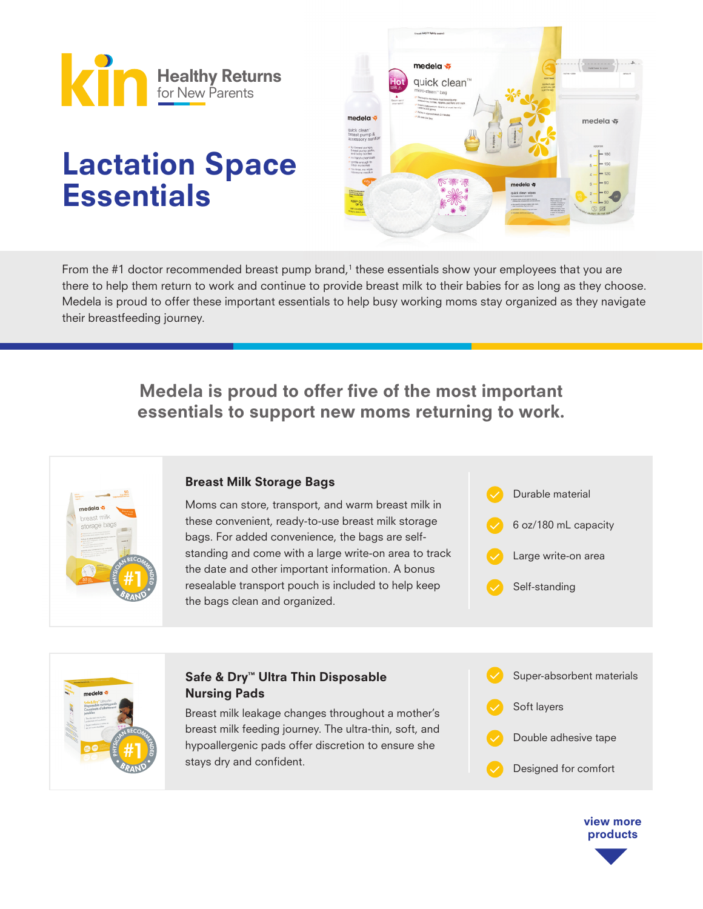

# Lactation Space **Essentials**



From the #1 doctor recommended breast pump brand, $^1$  these essentials show your employees that you are there to help them return to work and continue to provide breast milk to their babies for as long as they choose. Medela is proud to offer these important essentials to help busy working moms stay organized as they navigate their breastfeeding journey.

# Medela is proud to offer five of the most important essentials to support new moms returning to work.



### Breast Milk Storage Bags

Moms can store, transport, and warm breast milk in these convenient, ready-to-use breast milk storage bags. For added convenience, the bags are selfstanding and come with a large write-on area to track the date and other important information. A bonus resealable transport pouch is included to help keep the bags clean and organized.





#### Safe & Dry™ Ultra Thin Disposable Nursing Pads

Breast milk leakage changes throughout a mother's breast milk feeding journey. The ultra-thin, soft, and hypoallergenic pads offer discretion to ensure she stays dry and confident.